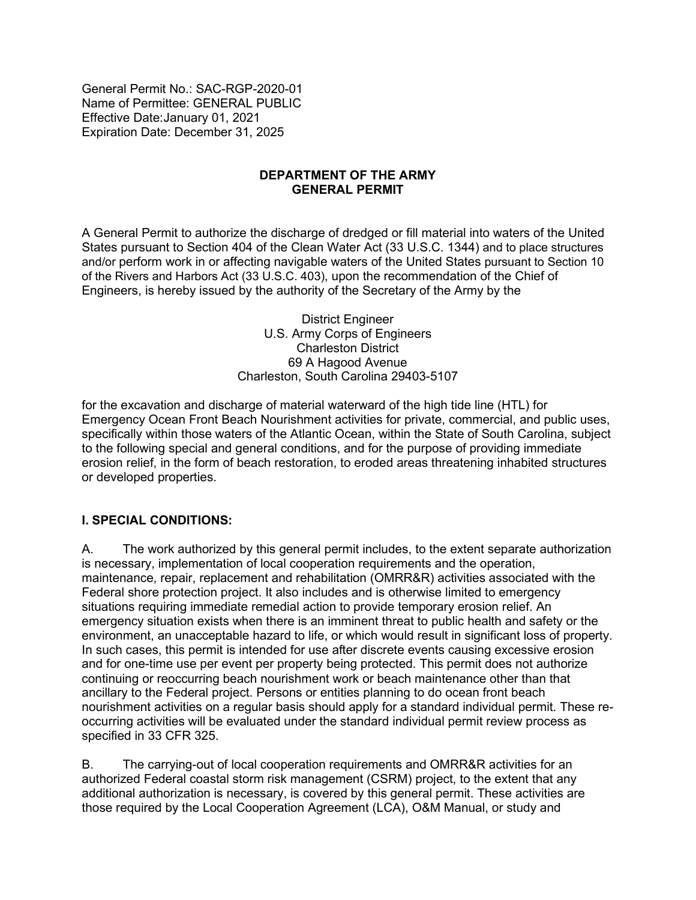General Permit No.: SAC-RGP-2020-01 Name of Permittee: GENERAL PUBLIC Effective Date:January 01, 2021 Expiration Date: December 31, 2025

#### **DEPARTMENT OF THE ARMY GENERAL PERMIT**

A General Permit to authorize the discharge of dredged or fill material into waters of the United States pursuant to Section 404 of the Clean Water Act (33 U.S.C. 1344) and to place structures and/or perform work in or affecting navigable waters of the United States pursuant to Section 10 of the Rivers and Harbors Act (33 U.S.C. 403), upon the recommendation of the Chief of Engineers, is hereby issued by the authority of the Secretary of the Army by the

> District Engineer U.S. Army Corps of Engineers Charleston District 69 A Hagood Avenue Charleston, South Carolina 29403-5107

for the excavation and discharge of material waterward of the high tide line (HTL) for Emergency Ocean Front Beach Nourishment activities for private, commercial, and public uses, specifically within those waters of the Atlantic Ocean, within the State of South Carolina, subject to the following special and general conditions, and for the purpose of providing immediate erosion relief, in the form of beach restoration, to eroded areas threatening inhabited structures or developed properties.

#### **I. SPECIAL CONDITIONS:**

A. The work authorized by this general permit includes, to the extent separate authorization is necessary, implementation of local cooperation requirements and the operation, maintenance, repair, replacement and rehabilitation (OMRR&R) activities associated with the Federal shore protection project. It also includes and is otherwise limited to emergency situations requiring immediate remedial action to provide temporary erosion relief. An emergency situation exists when there is an imminent threat to public health and safety or the environment, an unacceptable hazard to life, or which would result in significant loss of property. In such cases, this permit is intended for use after discrete events causing excessive erosion and for one-time use per event per property being protected. This permit does not authorize continuing or reoccurring beach nourishment work or beach maintenance other than that ancillary to the Federal project. Persons or entities planning to do ocean front beach nourishment activities on a regular basis should apply for a standard individual permit. These reoccurring activities will be evaluated under the standard individual permit review process as specified in 33 CFR 325.

B. The carrying-out of local cooperation requirements and OMRR&R activities for an authorized Federal coastal storm risk management (CSRM) project, to the extent that any additional authorization is necessary, is covered by this general permit. These activities are those required by the Local Cooperation Agreement (LCA), O&M Manual, or study and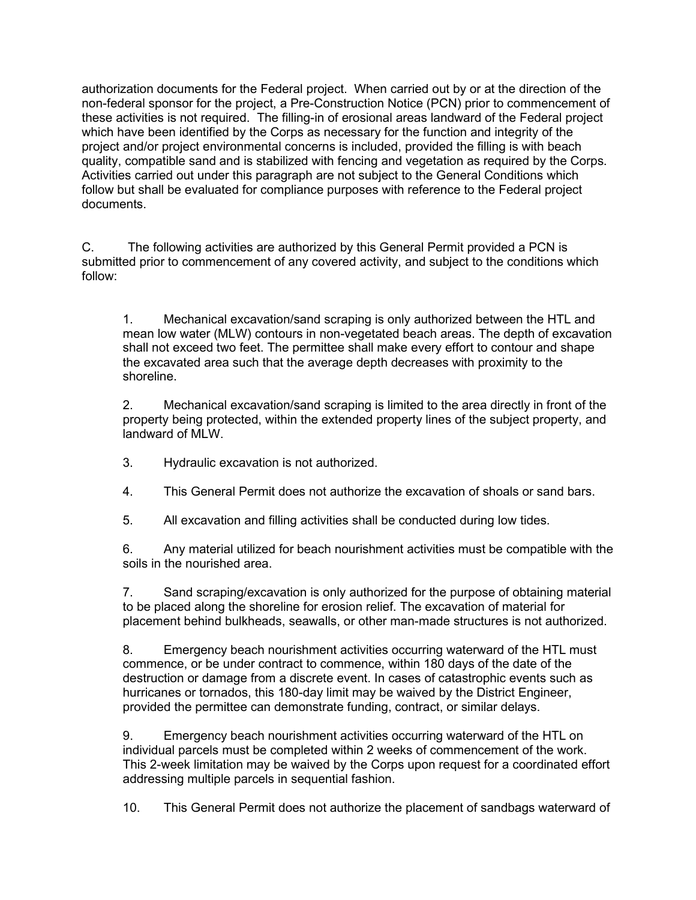authorization documents for the Federal project. When carried out by or at the direction of the non-federal sponsor for the project, a Pre-Construction Notice (PCN) prior to commencement of these activities is not required. The filling-in of erosional areas landward of the Federal project which have been identified by the Corps as necessary for the function and integrity of the project and/or project environmental concerns is included, provided the filling is with beach quality, compatible sand and is stabilized with fencing and vegetation as required by the Corps. Activities carried out under this paragraph are not subject to the General Conditions which follow but shall be evaluated for compliance purposes with reference to the Federal project documents.

C. The following activities are authorized by this General Permit provided a PCN is submitted prior to commencement of any covered activity, and subject to the conditions which follow:

1. Mechanical excavation/sand scraping is only authorized between the HTL and mean low water (MLW) contours in non-vegetated beach areas. The depth of excavation shall not exceed two feet. The permittee shall make every effort to contour and shape the excavated area such that the average depth decreases with proximity to the shoreline.

2. Mechanical excavation/sand scraping is limited to the area directly in front of the property being protected, within the extended property lines of the subject property, and landward of MLW.

3. Hydraulic excavation is not authorized.

4. This General Permit does not authorize the excavation of shoals or sand bars.

5. All excavation and filling activities shall be conducted during low tides.

6. Any material utilized for beach nourishment activities must be compatible with the soils in the nourished area.

7. Sand scraping/excavation is only authorized for the purpose of obtaining material to be placed along the shoreline for erosion relief. The excavation of material for placement behind bulkheads, seawalls, or other man-made structures is not authorized.

8. Emergency beach nourishment activities occurring waterward of the HTL must commence, or be under contract to commence, within 180 days of the date of the destruction or damage from a discrete event. In cases of catastrophic events such as hurricanes or tornados, this 180-day limit may be waived by the District Engineer, provided the permittee can demonstrate funding, contract, or similar delays.

9. Emergency beach nourishment activities occurring waterward of the HTL on individual parcels must be completed within 2 weeks of commencement of the work. This 2-week limitation may be waived by the Corps upon request for a coordinated effort addressing multiple parcels in sequential fashion.

10. This General Permit does not authorize the placement of sandbags waterward of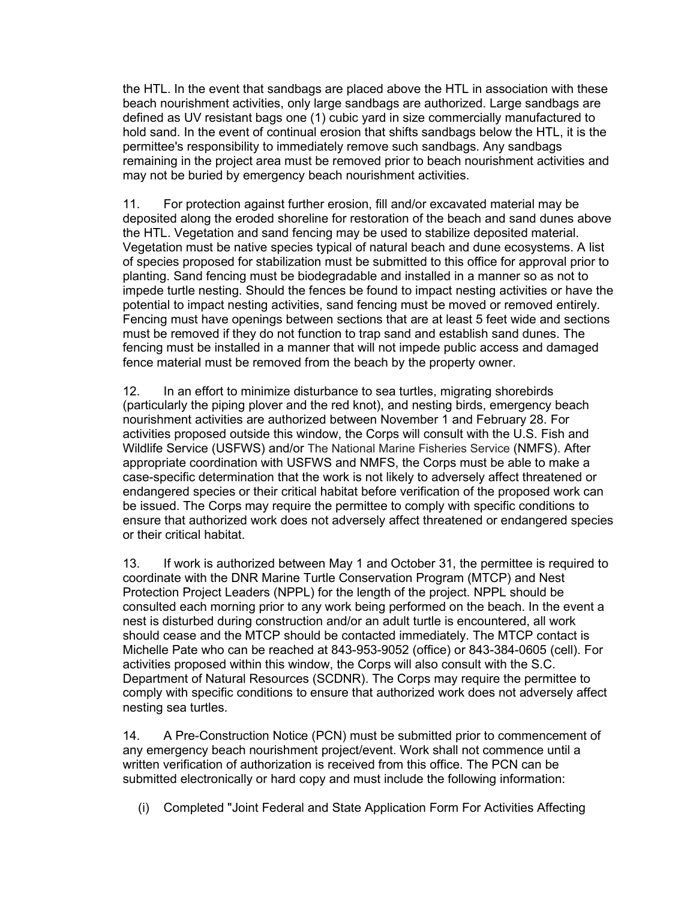the HTL. In the event that sandbags are placed above the HTL in association with these beach nourishment activities, only large sandbags are authorized. Large sandbags are defined as UV resistant bags one (1) cubic yard in size commercially manufactured to hold sand. In the event of continual erosion that shifts sandbags below the HTL, it is the permittee's responsibility to immediately remove such sandbags. Any sandbags remaining in the project area must be removed prior to beach nourishment activities and may not be buried by emergency beach nourishment activities.

11. For protection against further erosion, fill and/or excavated material may be deposited along the eroded shoreline for restoration of the beach and sand dunes above the HTL. Vegetation and sand fencing may be used to stabilize deposited material. Vegetation must be native species typical of natural beach and dune ecosystems. A list of species proposed for stabilization must be submitted to this office for approval prior to planting. Sand fencing must be biodegradable and installed in a manner so as not to impede turtle nesting. Should the fences be found to impact nesting activities or have the potential to impact nesting activities, sand fencing must be moved or removed entirely. Fencing must have openings between sections that are at least 5 feet wide and sections must be removed if they do not function to trap sand and establish sand dunes. The fencing must be installed in a manner that will not impede public access and damaged fence material must be removed from the beach by the property owner.

12. In an effort to minimize disturbance to sea turtles, migrating shorebirds (particularly the piping plover and the red knot), and nesting birds, emergency beach nourishment activities are authorized between November 1 and February 28. For activities proposed outside this window, the Corps will consult with the U.S. Fish and Wildlife Service (USFWS) and/or The National Marine Fisheries Service (NMFS). After appropriate coordination with USFWS and NMFS, the Corps must be able to make a case-specific determination that the work is not likely to adversely affect threatened or endangered species or their critical habitat before verification of the proposed work can be issued. The Corps may require the permittee to comply with specific conditions to ensure that authorized work does not adversely affect threatened or endangered species or their critical habitat.

13. If work is authorized between May 1 and October 31, the permittee is required to coordinate with the DNR Marine Turtle Conservation Program (MTCP) and Nest Protection Project Leaders (NPPL) for the length of the project. NPPL should be consulted each morning prior to any work being performed on the beach. In the event a nest is disturbed during construction and/or an adult turtle is encountered, all work should cease and the MTCP should be contacted immediately. The MTCP contact is Michelle Pate who can be reached at 843-953-9052 (office) or 843-384-0605 (cell). For activities proposed within this window, the Corps will also consult with the S.C. Department of Natural Resources (SCDNR). The Corps may require the permittee to comply with specific conditions to ensure that authorized work does not adversely affect nesting sea turtles.

14. A Pre-Construction Notice (PCN) must be submitted prior to commencement of any emergency beach nourishment project/event. Work shall not commence until a written verification of authorization is received from this office. The PCN can be submitted electronically or hard copy and must include the following information:

(i) Completed "Joint Federal and State Application Form For Activities Affecting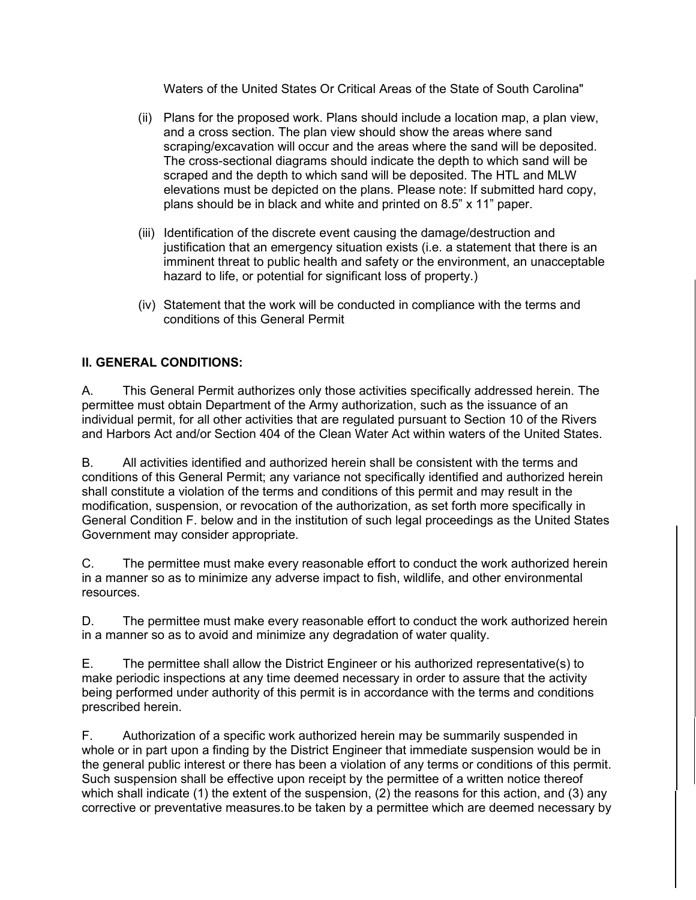Waters of the United States Or Critical Areas of the State of South Carolina"

- (ii) Plans for the proposed work. Plans should include a location map, a plan view, and a cross section. The plan view should show the areas where sand scraping/excavation will occur and the areas where the sand will be deposited. The cross-sectional diagrams should indicate the depth to which sand will be scraped and the depth to which sand will be deposited. The HTL and MLW elevations must be depicted on the plans. Please note: If submitted hard copy, plans should be in black and white and printed on 8.5" x 11" paper.
- (iii) Identification of the discrete event causing the damage/destruction and justification that an emergency situation exists (i.e. a statement that there is an imminent threat to public health and safety or the environment, an unacceptable hazard to life, or potential for significant loss of property.)
- (iv) Statement that the work will be conducted in compliance with the terms and conditions of this General Permit

## **II. GENERAL CONDITIONS:**

A. This General Permit authorizes only those activities specifically addressed herein. The permittee must obtain Department of the Army authorization, such as the issuance of an individual permit, for all other activities that are regulated pursuant to Section 10 of the Rivers and Harbors Act and/or Section 404 of the Clean Water Act within waters of the United States.

B. All activities identified and authorized herein shall be consistent with the terms and conditions of this General Permit; any variance not specifically identified and authorized herein shall constitute a violation of the terms and conditions of this permit and may result in the modification, suspension, or revocation of the authorization, as set forth more specifically in General Condition F. below and in the institution of such legal proceedings as the United States Government may consider appropriate.

C. The permittee must make every reasonable effort to conduct the work authorized herein in a manner so as to minimize any adverse impact to fish, wildlife, and other environmental resources.

D. The permittee must make every reasonable effort to conduct the work authorized herein in a manner so as to avoid and minimize any degradation of water quality.

E. The permittee shall allow the District Engineer or his authorized representative(s) to make periodic inspections at any time deemed necessary in order to assure that the activity being performed under authority of this permit is in accordance with the terms and conditions prescribed herein.

F. Authorization of a specific work authorized herein may be summarily suspended in whole or in part upon a finding by the District Engineer that immediate suspension would be in the general public interest or there has been a violation of any terms or conditions of this permit. Such suspension shall be effective upon receipt by the permittee of a written notice thereof which shall indicate (1) the extent of the suspension, (2) the reasons for this action, and (3) any corrective or preventative measures.to be taken by a permittee which are deemed necessary by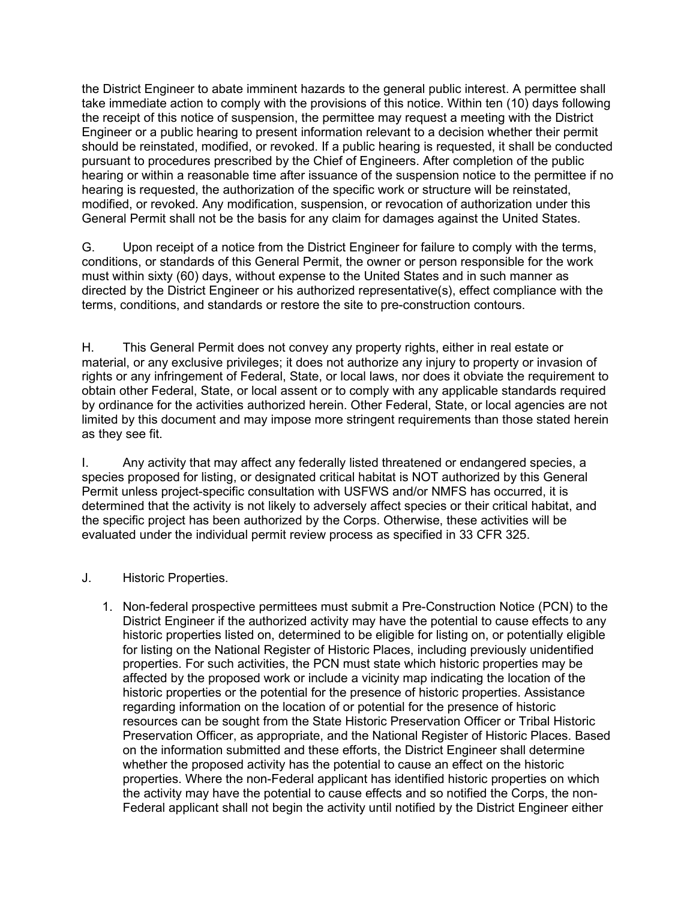the District Engineer to abate imminent hazards to the general public interest. A permittee shall take immediate action to comply with the provisions of this notice. Within ten (10) days following the receipt of this notice of suspension, the permittee may request a meeting with the District Engineer or a public hearing to present information relevant to a decision whether their permit should be reinstated, modified, or revoked. If a public hearing is requested, it shall be conducted pursuant to procedures prescribed by the Chief of Engineers. After completion of the public hearing or within a reasonable time after issuance of the suspension notice to the permittee if no hearing is requested, the authorization of the specific work or structure will be reinstated, modified, or revoked. Any modification, suspension, or revocation of authorization under this General Permit shall not be the basis for any claim for damages against the United States.

G. Upon receipt of a notice from the District Engineer for failure to comply with the terms, conditions, or standards of this General Permit, the owner or person responsible for the work must within sixty (60) days, without expense to the United States and in such manner as directed by the District Engineer or his authorized representative(s), effect compliance with the terms, conditions, and standards or restore the site to pre-construction contours.

H. This General Permit does not convey any property rights, either in real estate or material, or any exclusive privileges; it does not authorize any injury to property or invasion of rights or any infringement of Federal, State, or local laws, nor does it obviate the requirement to obtain other Federal, State, or local assent or to comply with any applicable standards required by ordinance for the activities authorized herein. Other Federal, State, or local agencies are not limited by this document and may impose more stringent requirements than those stated herein as they see fit.

I. Any activity that may affect any federally listed threatened or endangered species, a species proposed for listing, or designated critical habitat is NOT authorized by this General Permit unless project-specific consultation with USFWS and/or NMFS has occurred, it is determined that the activity is not likely to adversely affect species or their critical habitat, and the specific project has been authorized by the Corps. Otherwise, these activities will be evaluated under the individual permit review process as specified in 33 CFR 325.

#### J. Historic Properties.

1. Non-federal prospective permittees must submit a Pre-Construction Notice (PCN) to the District Engineer if the authorized activity may have the potential to cause effects to any historic properties listed on, determined to be eligible for listing on, or potentially eligible for listing on the National Register of Historic Places, including previously unidentified properties. For such activities, the PCN must state which historic properties may be affected by the proposed work or include a vicinity map indicating the location of the historic properties or the potential for the presence of historic properties. Assistance regarding information on the location of or potential for the presence of historic resources can be sought from the State Historic Preservation Officer or Tribal Historic Preservation Officer, as appropriate, and the National Register of Historic Places. Based on the information submitted and these efforts, the District Engineer shall determine whether the proposed activity has the potential to cause an effect on the historic properties. Where the non-Federal applicant has identified historic properties on which the activity may have the potential to cause effects and so notified the Corps, the non-Federal applicant shall not begin the activity until notified by the District Engineer either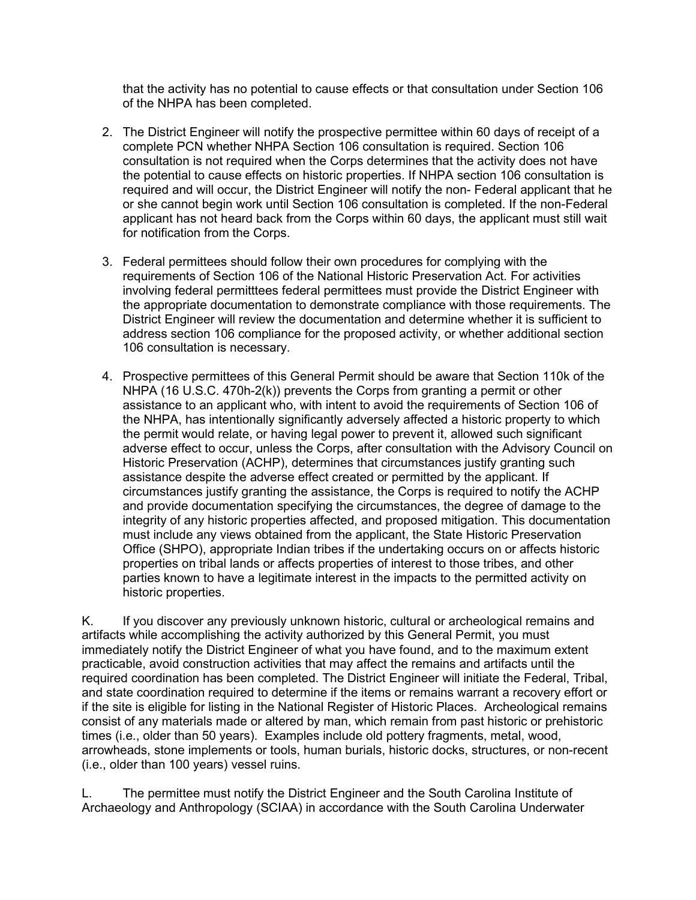that the activity has no potential to cause effects or that consultation under Section 106 of the NHPA has been completed.

- 2. The District Engineer will notify the prospective permittee within 60 days of receipt of a complete PCN whether NHPA Section 106 consultation is required. Section 106 consultation is not required when the Corps determines that the activity does not have the potential to cause effects on historic properties. If NHPA section 106 consultation is required and will occur, the District Engineer will notify the non- Federal applicant that he or she cannot begin work until Section 106 consultation is completed. If the non-Federal applicant has not heard back from the Corps within 60 days, the applicant must still wait for notification from the Corps.
- 3. Federal permittees should follow their own procedures for complying with the requirements of Section 106 of the National Historic Preservation Act. For activities involving federal permitttees federal permittees must provide the District Engineer with the appropriate documentation to demonstrate compliance with those requirements. The District Engineer will review the documentation and determine whether it is sufficient to address section 106 compliance for the proposed activity, or whether additional section 106 consultation is necessary.
- 4. Prospective permittees of this General Permit should be aware that Section 110k of the NHPA (16 U.S.C. 470h-2(k)) prevents the Corps from granting a permit or other assistance to an applicant who, with intent to avoid the requirements of Section 106 of the NHPA, has intentionally significantly adversely affected a historic property to which the permit would relate, or having legal power to prevent it, allowed such significant adverse effect to occur, unless the Corps, after consultation with the Advisory Council on Historic Preservation (ACHP), determines that circumstances justify granting such assistance despite the adverse effect created or permitted by the applicant. If circumstances justify granting the assistance, the Corps is required to notify the ACHP and provide documentation specifying the circumstances, the degree of damage to the integrity of any historic properties affected, and proposed mitigation. This documentation must include any views obtained from the applicant, the State Historic Preservation Office (SHPO), appropriate Indian tribes if the undertaking occurs on or affects historic properties on tribal lands or affects properties of interest to those tribes, and other parties known to have a legitimate interest in the impacts to the permitted activity on historic properties.

K. If you discover any previously unknown historic, cultural or archeological remains and artifacts while accomplishing the activity authorized by this General Permit, you must immediately notify the District Engineer of what you have found, and to the maximum extent practicable, avoid construction activities that may affect the remains and artifacts until the required coordination has been completed. The District Engineer will initiate the Federal, Tribal, and state coordination required to determine if the items or remains warrant a recovery effort or if the site is eligible for listing in the National Register of Historic Places. Archeological remains consist of any materials made or altered by man, which remain from past historic or prehistoric times (i.e., older than 50 years). Examples include old pottery fragments, metal, wood, arrowheads, stone implements or tools, human burials, historic docks, structures, or non-recent (i.e., older than 100 years) vessel ruins.

L. The permittee must notify the District Engineer and the South Carolina Institute of Archaeology and Anthropology (SCIAA) in accordance with the South Carolina Underwater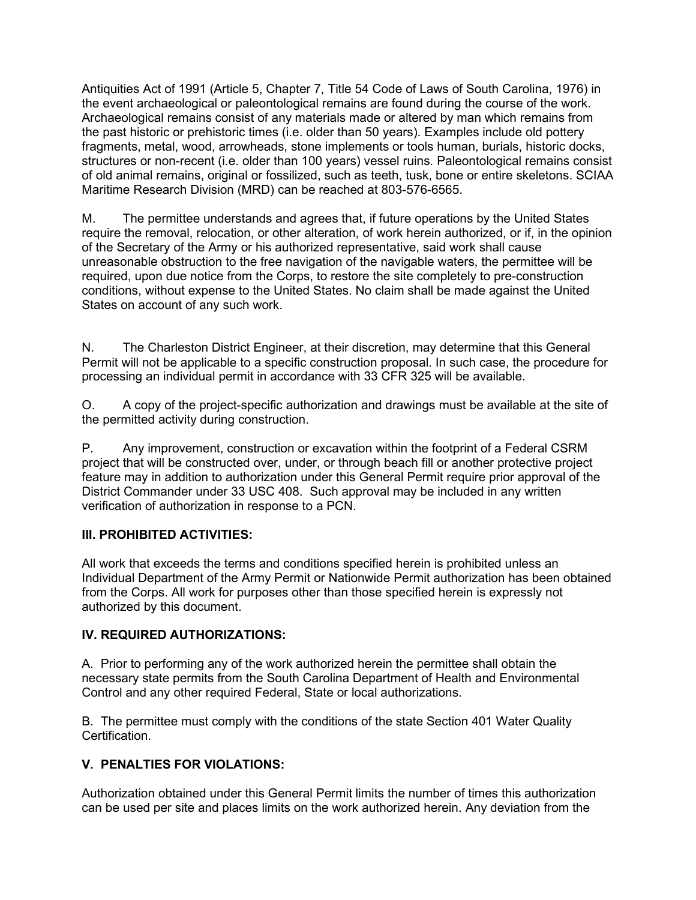Antiquities Act of 1991 (Article 5, Chapter 7, Title 54 Code of Laws of South Carolina, 1976) in the event archaeological or paleontological remains are found during the course of the work. Archaeological remains consist of any materials made or altered by man which remains from the past historic or prehistoric times (i.e. older than 50 years). Examples include old pottery fragments, metal, wood, arrowheads, stone implements or tools human, burials, historic docks, structures or non-recent (i.e. older than 100 years) vessel ruins. Paleontological remains consist of old animal remains, original or fossilized, such as teeth, tusk, bone or entire skeletons. SCIAA Maritime Research Division (MRD) can be reached at 803-576-6565.

M. The permittee understands and agrees that, if future operations by the United States require the removal, relocation, or other alteration, of work herein authorized, or if, in the opinion of the Secretary of the Army or his authorized representative, said work shall cause unreasonable obstruction to the free navigation of the navigable waters, the permittee will be required, upon due notice from the Corps, to restore the site completely to pre-construction conditions, without expense to the United States. No claim shall be made against the United States on account of any such work.

N. The Charleston District Engineer, at their discretion, may determine that this General Permit will not be applicable to a specific construction proposal. In such case, the procedure for processing an individual permit in accordance with 33 CFR 325 will be available.

O. A copy of the project-specific authorization and drawings must be available at the site of the permitted activity during construction.

P. Any improvement, construction or excavation within the footprint of a Federal CSRM project that will be constructed over, under, or through beach fill or another protective project feature may in addition to authorization under this General Permit require prior approval of the District Commander under 33 USC 408. Such approval may be included in any written verification of authorization in response to a PCN.

#### **III. PROHIBITED ACTIVITIES:**

All work that exceeds the terms and conditions specified herein is prohibited unless an Individual Department of the Army Permit or Nationwide Permit authorization has been obtained from the Corps. All work for purposes other than those specified herein is expressly not authorized by this document.

#### **IV. REQUIRED AUTHORIZATIONS:**

A. Prior to performing any of the work authorized herein the permittee shall obtain the necessary state permits from the South Carolina Department of Health and Environmental Control and any other required Federal, State or local authorizations.

B. The permittee must comply with the conditions of the state Section 401 Water Quality **Certification** 

#### **V. PENALTIES FOR VIOLATIONS:**

Authorization obtained under this General Permit limits the number of times this authorization can be used per site and places limits on the work authorized herein. Any deviation from the